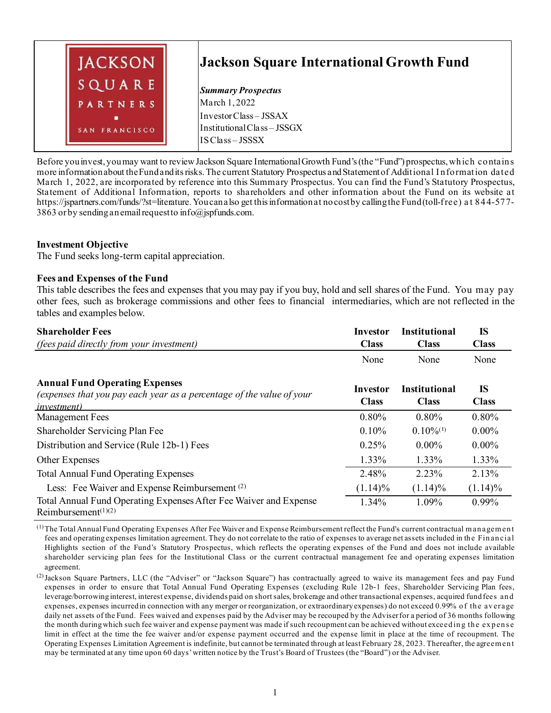

Before you invest, you may want to review Jackson Square International Growth Fund's (the "Fund") prospectus, which contains more information about the Fund and its risks. The current Statutory Prospectus and Statement of Additional I nformation dated March 1, 2022, are incorporated by reference into this Summary Prospectus. You can find the Fund's Statutory Prospectus, Statement of Additional Information, reports to shareholders and other information about the Fund on its website at https://jspartners.com/funds/?st=literature. You can also get this information at no cost by calling the Fund (toll-free) a t 844-577- 3863 or by sending an email request to info@jspfunds.com.

#### **Investment Objective**

The Fund seeks long-term capital appreciation.

#### **Fees and Expenses of the Fund**

This table describes the fees and expenses that you may pay if you buy, hold and sell shares of the Fund. You may pay other fees, such as brokerage commissions and other fees to financial intermediaries, which are not reflected in the tables and examples below.

| <b>Shareholder Fees</b>                                                                                                               | Investor                 | <b>Institutional</b>                 | IS                 |
|---------------------------------------------------------------------------------------------------------------------------------------|--------------------------|--------------------------------------|--------------------|
| <i>(fees paid directly from your investment)</i>                                                                                      | <b>Class</b>             | <b>Class</b>                         | <b>Class</b>       |
|                                                                                                                                       | None                     | None                                 | None               |
| <b>Annual Fund Operating Expenses</b><br>(expenses that you pay each year as a percentage of the value of your<br><i>investment</i> ) | Investor<br><b>Class</b> | <b>Institutional</b><br><b>Class</b> | IS<br><b>Class</b> |
| Management Fees                                                                                                                       | 0.80%                    | 0.80%                                | 0.80%              |
| Shareholder Servicing Plan Fee                                                                                                        | 0.10%                    | $0.10\%$ <sup>(1)</sup>              | $0.00\%$           |
| Distribution and Service (Rule 12b-1) Fees                                                                                            | 0.25%                    | $0.00\%$                             | $0.00\%$           |
| Other Expenses                                                                                                                        | 1.33%                    | 1.33%                                | 1.33%              |
| <b>Total Annual Fund Operating Expenses</b>                                                                                           | 2.48%                    | 2.23%                                | 2.13%              |
| Less: Fee Waiver and Expense Reimbursement <sup>(2)</sup>                                                                             | $(1.14)\%$               | $(1.14)\%$                           | $(1.14)\%$         |
| Total Annual Fund Operating Expenses After Fee Waiver and Expense<br>Reimbursement $(1)(2)$                                           | 1.34%                    | 1.09%                                | $0.99\%$           |

(1)The Total Annual Fund Operating Expenses After Fee Waiver and Expense Reimbursement reflect the Fund's current contractual m an agem en t fees and operating expenses limitation agreement. They do not correlate to the ratio of expenses to average net assets included in th e Fin an cial Highlights section of the Fund's Statutory Prospectus, which reflects the operating expenses of the Fund and does not include available shareholder servicing plan fees for the Institutional Class or the current contractual management fee and operating expenses limitation agreement.

<sup>(2)</sup>Jackson Square Partners, LLC (the "Adviser" or "Jackson Square") has contractually agreed to waive its management fees and pay Fund expenses in order to ensure that Total Annual Fund Operating Expenses (excluding Rule 12b-1 fees, Shareholder Servicing Plan fees, leverage/borrowing interest, interest expense, dividends paid on short sales, brokerage and other transactional expenses, acquired fund fees an d expenses, expenses incurred in connection with any merger or reorganization, or extraordinary expenses) do not exceed 0.99% of the average daily net assets of the Fund. Fees waived and expenses paid by the Adviser may be recouped by the Adviser for a period of 36 months following the month during which such fee waiver and expense payment was made if such recoupment can be achieved without exceeding the expense limit in effect at the time the fee waiver and/or expense payment occurred and the expense limit in place at the time of recoupment. The Operating Expenses Limitation Agreement is indefinite, but cannot be terminated through at least February 28, 2023. Thereafter, the agreem en t may be terminated at any time upon 60 days' written notice by the Trust's Board of Trustees (the "Board") or the Adviser.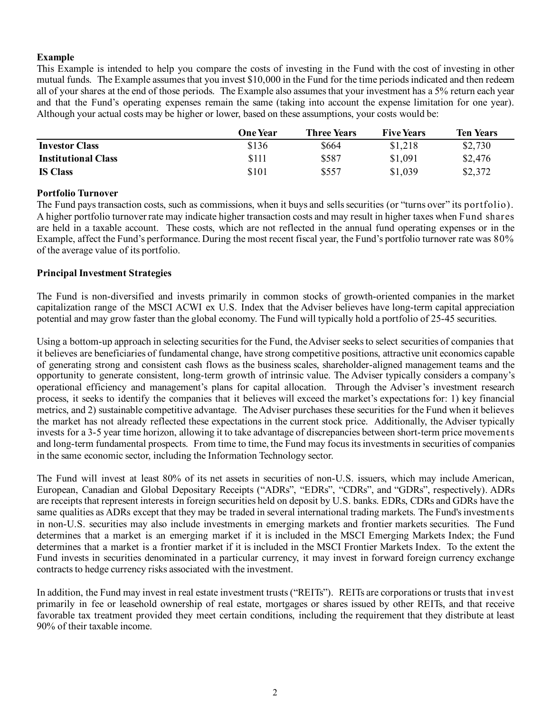## **Example**

This Example is intended to help you compare the costs of investing in the Fund with the cost of investing in other mutual funds. The Example assumes that you invest \$10,000 in the Fund for the time periods indicated and then redeem all of your shares at the end of those periods. The Example also assumes that your investment has a 5% return each year and that the Fund's operating expenses remain the same (taking into account the expense limitation for one year). Although your actual costs may be higher or lower, based on these assumptions, your costs would be:

|                            | <b>One Year</b> | <b>Three Years</b> | <b>Five Years</b> | <b>Ten Years</b> |
|----------------------------|-----------------|--------------------|-------------------|------------------|
| <b>Investor Class</b>      | \$136           | \$664              | \$1,218           | \$2,730          |
| <b>Institutional Class</b> | \$111           | \$587              | \$1,091           | \$2,476          |
| <b>IS Class</b>            | \$101           | \$557              | \$1,039           | \$2,372          |

#### **Portfolio Turnover**

The Fund pays transaction costs, such as commissions, when it buys and sells securities (or "turns over" its portfolio). A higher portfolio turnover rate may indicate higher transaction costs and may result in higher taxes when Fund shares are held in a taxable account. These costs, which are not reflected in the annual fund operating expenses or in the Example, affect the Fund's performance. During the most recent fiscal year, the Fund's portfolio turnover rate was 80% of the average value of its portfolio.

#### **Principal Investment Strategies**

The Fund is non-diversified and invests primarily in common stocks of growth-oriented companies in the market capitalization range of the MSCI ACWI ex U.S. Index that the Adviser believes have long-term capital appreciation potential and may grow faster than the global economy. The Fund will typically hold a portfolio of 25-45 securities.

Using a bottom-up approach in selecting securities for the Fund, the Adviser seeks to select securities of companies that it believes are beneficiaries of fundamental change, have strong competitive positions, attractive unit economics capable of generating strong and consistent cash flows as the business scales, shareholder-aligned management teams and the opportunity to generate consistent, long-term growth of intrinsic value. The Adviser typically considers a company's operational efficiency and management's plans for capital allocation. Through the Adviser's investment research process, it seeks to identify the companies that it believes will exceed the market's expectations for: 1) key financial metrics, and 2) sustainable competitive advantage. The Adviser purchases these securities for the Fund when it believes the market has not already reflected these expectations in the current stock price. Additionally, the Adviser typically invests for a 3-5 year time horizon, allowing it to take advantage of discrepancies between short-term price movements and long-term fundamental prospects. From time to time, the Fund may focus its investments in securities of companies in the same economic sector, including the Information Technology sector.

The Fund will invest at least 80% of its net assets in securities of non-U.S. issuers, which may include American, European, Canadian and Global Depositary Receipts ("ADRs", "EDRs", "CDRs", and "GDRs", respectively). ADRs are receipts that represent interests in foreign securities held on deposit by U.S. banks. EDRs, CDRs and GDRs have the same qualities as ADRs except that they may be traded in several international trading markets. The Fund's investments in non-U.S. securities may also include investments in emerging markets and frontier markets securities. The Fund determines that a market is an emerging market if it is included in the MSCI Emerging Markets Index; the Fund determines that a market is a frontier market if it is included in the MSCI Frontier Markets Index. To the extent the Fund invests in securities denominated in a particular currency, it may invest in forward foreign currency exchange contracts to hedge currency risks associated with the investment.

In addition, the Fund may invest in real estate investment trusts ("REITs"). REITs are corporations or trusts that invest primarily in fee or leasehold ownership of real estate, mortgages or shares issued by other REITs, and that receive favorable tax treatment provided they meet certain conditions, including the requirement that they distribute at least 90% of their taxable income.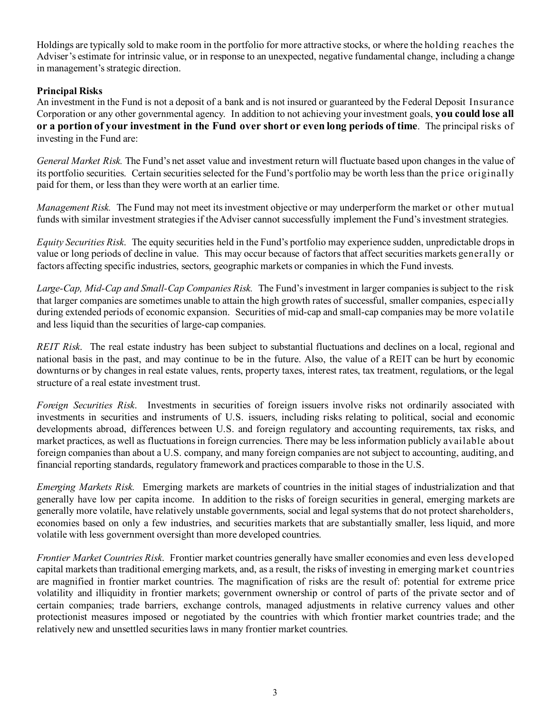Holdings are typically sold to make room in the portfolio for more attractive stocks, or where the holding reaches the Adviser's estimate for intrinsic value, or in response to an unexpected, negative fundamental change, including a change in management's strategic direction.

# **Principal Risks**

An investment in the Fund is not a deposit of a bank and is not insured or guaranteed by the Federal Deposit Insurance Corporation or any other governmental agency. In addition to not achieving your investment goals, **you could lose all or a portion of your investment in the Fund over short or even long periods of time**. The principal risks of investing in the Fund are:

*General Market Risk.* The Fund's net asset value and investment return will fluctuate based upon changes in the value of its portfolio securities. Certain securities selected for the Fund's portfolio may be worth less than the price originally paid for them, or less than they were worth at an earlier time.

*Management Risk.* The Fund may not meet its investment objective or may underperform the market or other mutual funds with similar investment strategies if the Adviser cannot successfully implement the Fund's investment strategies.

*Equity Securities Risk*. The equity securities held in the Fund's portfolio may experience sudden, unpredictable drops in value or long periods of decline in value. This may occur because of factors that affect securities markets generally or factors affecting specific industries, sectors, geographic markets or companies in which the Fund invests.

*Large-Cap, Mid-Cap and Small-Cap Companies Risk.* The Fund's investment in larger companies is subject to the risk that larger companies are sometimes unable to attain the high growth rates of successful, smaller companies, especially during extended periods of economic expansion. Securities of mid-cap and small-cap companies may be more volatile and less liquid than the securities of large-cap companies.

*REIT Risk*. The real estate industry has been subject to substantial fluctuations and declines on a local, regional and national basis in the past, and may continue to be in the future. Also, the value of a REIT can be hurt by economic downturns or by changes in real estate values, rents, property taxes, interest rates, tax treatment, regulations, or the legal structure of a real estate investment trust.

*Foreign Securities Risk*. Investments in securities of foreign issuers involve risks not ordinarily associated with investments in securities and instruments of U.S. issuers, including risks relating to political, social and economic developments abroad, differences between U.S. and foreign regulatory and accounting requirements, tax risks, and market practices, as well as fluctuations in foreign currencies. There may be less information publicly available about foreign companies than about a U.S. company, and many foreign companies are not subject to accounting, auditing, and financial reporting standards, regulatory framework and practices comparable to those in the U.S.

*Emerging Markets Risk.* Emerging markets are markets of countries in the initial stages of industrialization and that generally have low per capita income. In addition to the risks of foreign securities in general, emerging markets are generally more volatile, have relatively unstable governments, social and legal systems that do not protect shareholders, economies based on only a few industries, and securities markets that are substantially smaller, less liquid, and more volatile with less government oversight than more developed countries.

*Frontier Market Countries Risk*. Frontier market countries generally have smaller economies and even less developed capital markets than traditional emerging markets, and, as a result, the risks of investing in emerging market countries are magnified in frontier market countries. The magnification of risks are the result of: potential for extreme price volatility and illiquidity in frontier markets; government ownership or control of parts of the private sector and of certain companies; trade barriers, exchange controls, managed adjustments in relative currency values and other protectionist measures imposed or negotiated by the countries with which frontier market countries trade; and the relatively new and unsettled securities laws in many frontier market countries.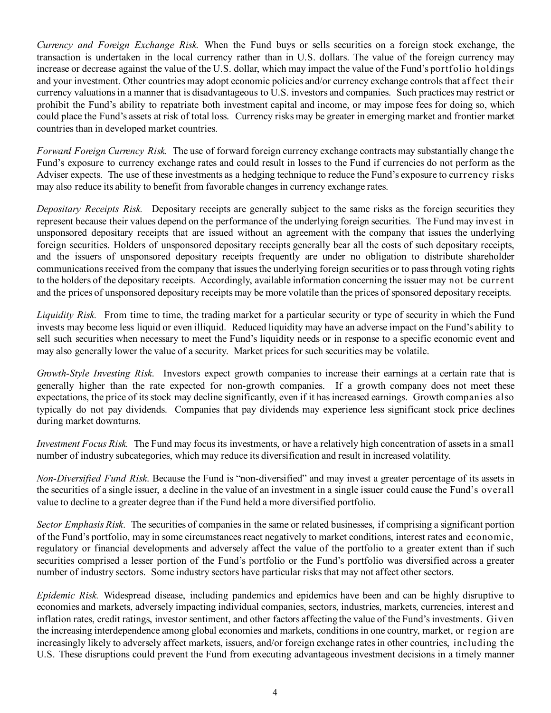*Currency and Foreign Exchange Risk.* When the Fund buys or sells securities on a foreign stock exchange, the transaction is undertaken in the local currency rather than in U.S. dollars. The value of the foreign currency may increase or decrease against the value of the U.S. dollar, which may impact the value of the Fund's portfolio holdings and your investment. Other countries may adopt economic policies and/or currency exchange controls that affect their currency valuations in a manner that is disadvantageous to U.S. investors and companies. Such practices may restrict or prohibit the Fund's ability to repatriate both investment capital and income, or may impose fees for doing so, which could place the Fund's assets at risk of total loss. Currency risks may be greater in emerging market and frontier market countries than in developed market countries.

*Forward Foreign Currency Risk.* The use of forward foreign currency exchange contracts may substantially change the Fund's exposure to currency exchange rates and could result in losses to the Fund if currencies do not perform as the Adviser expects. The use of these investments as a hedging technique to reduce the Fund's exposure to currency risks may also reduce its ability to benefit from favorable changes in currency exchange rates.

*Depositary Receipts Risk.* Depositary receipts are generally subject to the same risks as the foreign securities they represent because their values depend on the performance of the underlying foreign securities. The Fund may invest in unsponsored depositary receipts that are issued without an agreement with the company that issues the underlying foreign securities. Holders of unsponsored depositary receipts generally bear all the costs of such depositary receipts, and the issuers of unsponsored depositary receipts frequently are under no obligation to distribute shareholder communications received from the company that issues the underlying foreign securities or to pass through voting rights to the holders of the depositary receipts. Accordingly, available information concerning the issuer may not be current and the prices of unsponsored depositary receipts may be more volatile than the prices of sponsored depositary receipts.

*Liquidity Risk.* From time to time, the trading market for a particular security or type of security in which the Fund invests may become less liquid or even illiquid. Reduced liquidity may have an adverse impact on the Fund's ability to sell such securities when necessary to meet the Fund's liquidity needs or in response to a specific economic event and may also generally lower the value of a security. Market prices for such securities may be volatile.

*Growth-Style Investing Risk*. Investors expect growth companies to increase their earnings at a certain rate that is generally higher than the rate expected for non-growth companies. If a growth company does not meet these expectations, the price of its stock may decline significantly, even if it has increased earnings. Growth companies also typically do not pay dividends. Companies that pay dividends may experience less significant stock price declines during market downturns.

*Investment Focus Risk.* The Fund may focus its investments, or have a relatively high concentration of assets in a small number of industry subcategories, which may reduce its diversification and result in increased volatility.

*Non-Diversified Fund Risk*. Because the Fund is "non-diversified" and may invest a greater percentage of its assets in the securities of a single issuer, a decline in the value of an investment in a single issuer could cause the Fund's overall value to decline to a greater degree than if the Fund held a more diversified portfolio.

*Sector Emphasis Risk*. The securities of companies in the same or related businesses, if comprising a significant portion of the Fund's portfolio, may in some circumstances react negatively to market conditions, interest rates and economic, regulatory or financial developments and adversely affect the value of the portfolio to a greater extent than if such securities comprised a lesser portion of the Fund's portfolio or the Fund's portfolio was diversified across a greater number of industry sectors. Some industry sectors have particular risks that may not affect other sectors.

*Epidemic Risk.* Widespread disease, including pandemics and epidemics have been and can be highly disruptive to economies and markets, adversely impacting individual companies, sectors, industries, markets, currencies, interest and inflation rates, credit ratings, investor sentiment, and other factors affecting the value of the Fund's investments. Given the increasing interdependence among global economies and markets, conditions in one country, market, or region are increasingly likely to adversely affect markets, issuers, and/or foreign exchange rates in other countries, including the U.S. These disruptions could prevent the Fund from executing advantageous investment decisions in a timely manner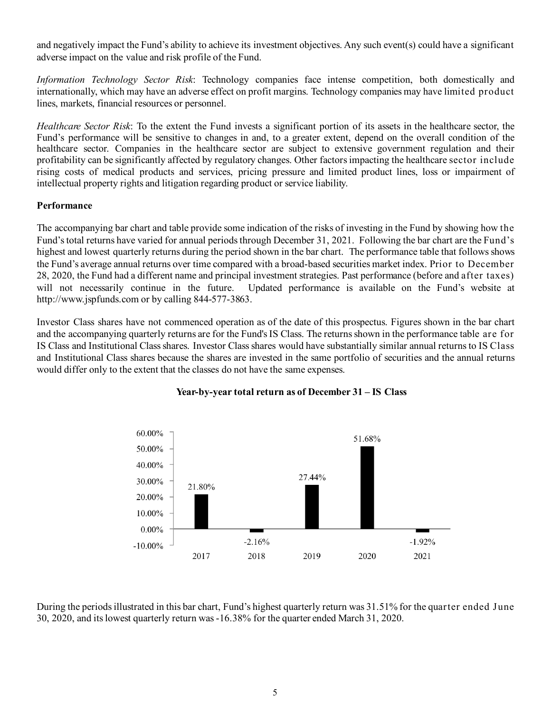and negatively impact the Fund's ability to achieve its investment objectives. Any such event(s) could have a significant adverse impact on the value and risk profile of the Fund.

*Information Technology Sector Risk*: Technology companies face intense competition, both domestically and internationally, which may have an adverse effect on profit margins. Technology companies may have limited product lines, markets, financial resources or personnel.

*Healthcare Sector Risk*: To the extent the Fund invests a significant portion of its assets in the healthcare sector, the Fund's performance will be sensitive to changes in and, to a greater extent, depend on the overall condition of the healthcare sector. Companies in the healthcare sector are subject to extensive government regulation and their profitability can be significantly affected by regulatory changes. Other factors impacting the healthcare sector include rising costs of medical products and services, pricing pressure and limited product lines, loss or impairment of intellectual property rights and litigation regarding product or service liability.

# **Performance**

The accompanying bar chart and table provide some indication of the risks of investing in the Fund by showing how the Fund's total returns have varied for annual periods through December 31, 2021. Following the bar chart are the Fund's highest and lowest quarterly returns during the period shown in the bar chart. The performance table that follows shows the Fund's average annual returns over time compared with a broad-based securities market index. Prior to December 28, 2020, the Fund had a different name and principal investment strategies. Past performance (before and after taxes) will not necessarily continue in the future. Updated performance is available on the Fund's website at http://www.jspfunds.com or by calling 844-577-3863.

Investor Class shares have not commenced operation as of the date of this prospectus. Figures shown in the bar chart and the accompanying quarterly returns are for the Fund's IS Class. The returns shown in the performance table are for IS Class and Institutional Class shares. Investor Class shares would have substantially similar annual returns to IS Class and Institutional Class shares because the shares are invested in the same portfolio of securities and the annual returns would differ only to the extent that the classes do not have the same expenses.



#### **Year-by-year total return as of December 31 – IS Class**

During the periods illustrated in this bar chart, Fund's highest quarterly return was 31.51% for the quarter ended June 30, 2020, and its lowest quarterly return was -16.38% for the quarter ended March 31, 2020.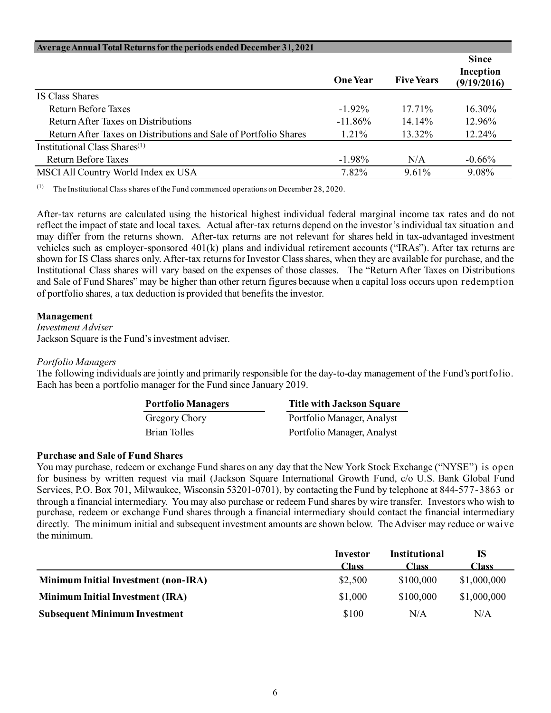| Average Annual Total Returns for the periods ended December 31, 2021 |                 |                   |                                          |
|----------------------------------------------------------------------|-----------------|-------------------|------------------------------------------|
|                                                                      | <b>One Year</b> | <b>Five Years</b> | <b>Since</b><br>Inception<br>(9/19/2016) |
| IS Class Shares                                                      |                 |                   |                                          |
| Return Before Taxes                                                  | $-1.92\%$       | $17.71\%$         | 16.30%                                   |
| Return After Taxes on Distributions                                  | $-11.86\%$      | $14.14\%$         | 12.96%                                   |
| Return After Taxes on Distributions and Sale of Portfolio Shares     | $1.21\%$        | 13.32%            | 12.24%                                   |
| Institutional Class Shares $(1)$                                     |                 |                   |                                          |
| Return Before Taxes                                                  | $-1.98\%$       | N/A               | $-0.66%$                                 |
| MSCI All Country World Index ex USA                                  | 7.82%           | $9.61\%$          | 9.08%                                    |

(1) The Institutional Class shares of the Fund commenced operations on December 28, 2020.

After-tax returns are calculated using the historical highest individual federal marginal income tax rates and do not reflect the impact of state and local taxes. Actual after-tax returns depend on the investor's individual tax situation and may differ from the returns shown. After-tax returns are not relevant for shares held in tax-advantaged investment vehicles such as employer-sponsored 401(k) plans and individual retirement accounts ("IRAs"). After tax returns are shown for IS Class shares only. After-tax returns for Investor Class shares, when they are available for purchase, and the Institutional Class shares will vary based on the expenses of those classes. The "Return After Taxes on Distributions and Sale of Fund Shares" may be higher than other return figures because when a capital loss occurs upon redemption of portfolio shares, a tax deduction is provided that benefits the investor.

#### **Management**

*Investment Adviser* Jackson Square is the Fund's investment adviser.

#### *Portfolio Managers*

The following individuals are jointly and primarily responsible for the day-to-day management of the Fund's portfolio. Each has been a portfolio manager for the Fund since January 2019.

| <b>Portfolio Managers</b> | <b>Title with Jackson Square</b> |
|---------------------------|----------------------------------|
| Gregory Chory             | Portfolio Manager, Analyst       |
| Brian Tolles              | Portfolio Manager, Analyst       |

#### **Purchase and Sale of Fund Shares**

You may purchase, redeem or exchange Fund shares on any day that the New York Stock Exchange ("NYSE") is open for business by written request via mail (Jackson Square International Growth Fund, c/o U.S. Bank Global Fund Services, P.O. Box 701, Milwaukee, Wisconsin 53201-0701), by contacting the Fund by telephone at 844-577-3863 or through a financial intermediary. You may also purchase or redeem Fund shares by wire transfer. Investors who wish to purchase, redeem or exchange Fund shares through a financial intermediary should contact the financial intermediary directly. The minimum initial and subsequent investment amounts are shown below. The Adviser may reduce or waive the minimum.

|                                             | Investor | <b>Institutional</b><br>Class | IS<br><b>Class</b> |
|---------------------------------------------|----------|-------------------------------|--------------------|
|                                             | Class    |                               |                    |
| <b>Minimum Initial Investment (non-IRA)</b> | \$2,500  | \$100,000                     | \$1,000,000        |
| <b>Minimum Initial Investment (IRA)</b>     | \$1,000  | \$100,000                     | \$1,000,000        |
| <b>Subsequent Minimum Investment</b>        | \$100    | N/A                           | N/A                |